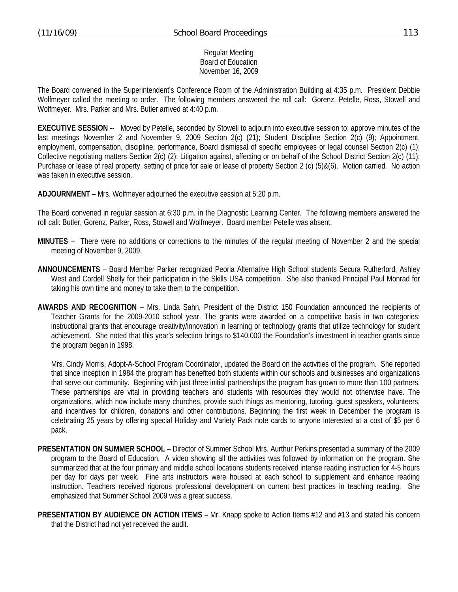### Regular Meeting Board of Education November 16, 2009

The Board convened in the Superintendent's Conference Room of the Administration Building at 4:35 p.m. President Debbie Wolfmeyer called the meeting to order. The following members answered the roll call: Gorenz, Petelle, Ross, Stowell and Wolfmeyer. Mrs. Parker and Mrs. Butler arrived at 4:40 p.m.

**EXECUTIVE SESSION** -- Moved by Petelle, seconded by Stowell to adjourn into executive session to: approve minutes of the last meetings November 2 and November 9, 2009 Section 2(c) (21); Student Discipline Section 2(c) (9); Appointment, employment, compensation, discipline, performance, Board dismissal of specific employees or legal counsel Section 2(c) (1); Collective negotiating matters Section 2(c) (2); Litigation against, affecting or on behalf of the School District Section 2(c) (11); Purchase or lease of real property, setting of price for sale or lease of property Section 2 (c) (5)&(6). Motion carried. No action was taken in executive session.

**ADJOURNMENT** – Mrs. Wolfmeyer adjourned the executive session at 5:20 p.m.

The Board convened in regular session at 6:30 p.m. in the Diagnostic Learning Center. The following members answered the roll call: Butler, Gorenz, Parker, Ross, Stowell and Wolfmeyer. Board member Petelle was absent.

- **MINUTES** There were no additions or corrections to the minutes of the regular meeting of November 2 and the special meeting of November 9, 2009.
- **ANNOUNCEMENTS** Board Member Parker recognized Peoria Alternative High School students Secura Rutherford, Ashley West and Cordell Shelly for their participation in the Skills USA competition. She also thanked Principal Paul Monrad for taking his own time and money to take them to the competition.
- **AWARDS AND RECOGNITION** Mrs. Linda Sahn, President of the District 150 Foundation announced the recipients of Teacher Grants for the 2009-2010 school year. The grants were awarded on a competitive basis in two categories: instructional grants that encourage creativity/innovation in learning or technology grants that utilize technology for student achievement. She noted that this year's selection brings to \$140,000 the Foundation's investment in teacher grants since the program began in 1998.

 Mrs. Cindy Morris, Adopt-A-School Program Coordinator, updated the Board on the activities of the program. She reported that since inception in 1984 the program has benefited both students within our schools and businesses and organizations that serve our community. Beginning with just three initial partnerships the program has grown to more than 100 partners. These partnerships are vital in providing teachers and students with resources they would not otherwise have. The organizations, which now include many churches, provide such things as mentoring, tutoring, guest speakers, volunteers, and incentives for children, donations and other contributions. Beginning the first week in December the program is celebrating 25 years by offering special Holiday and Variety Pack note cards to anyone interested at a cost of \$5 per 6 pack.

- **PRESENTATION ON SUMMER SCHOOL** Director of Summer School Mrs. Aurthur Perkins presented a summary of the 2009 program to the Board of Education. A video showing all the activities was followed by information on the program. She summarized that at the four primary and middle school locations students received intense reading instruction for 4-5 hours per day for days per week. Fine arts instructors were housed at each school to supplement and enhance reading instruction. Teachers received rigorous professional development on current best practices in teaching reading. She emphasized that Summer School 2009 was a great success.
- **PRESENTATION BY AUDIENCE ON ACTION ITEMS Mr. Knapp spoke to Action Items #12 and #13 and stated his concern** that the District had not yet received the audit.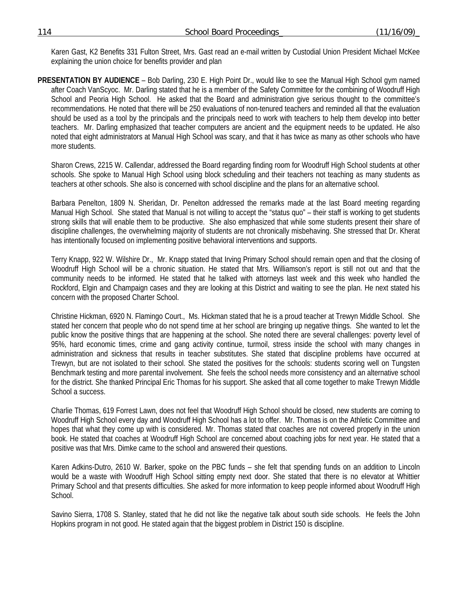Karen Gast, K2 Benefits 331 Fulton Street, Mrs. Gast read an e-mail written by Custodial Union President Michael McKee explaining the union choice for benefits provider and plan

**PRESENTATION BY AUDIENCE** – Bob Darling, 230 E. High Point Dr., would like to see the Manual High School gym named after Coach VanScyoc. Mr. Darling stated that he is a member of the Safety Committee for the combining of Woodruff High School and Peoria High School. He asked that the Board and administration give serious thought to the committee's recommendations. He noted that there will be 250 evaluations of non-tenured teachers and reminded all that the evaluation should be used as a tool by the principals and the principals need to work with teachers to help them develop into better teachers. Mr. Darling emphasized that teacher computers are ancient and the equipment needs to be updated. He also noted that eight administrators at Manual High School was scary, and that it has twice as many as other schools who have more students.

 Sharon Crews, 2215 W. Callendar, addressed the Board regarding finding room for Woodruff High School students at other schools. She spoke to Manual High School using block scheduling and their teachers not teaching as many students as teachers at other schools. She also is concerned with school discipline and the plans for an alternative school.

 Barbara Penelton, 1809 N. Sheridan, Dr. Penelton addressed the remarks made at the last Board meeting regarding Manual High School. She stated that Manual is not willing to accept the "status quo" – their staff is working to get students strong skills that will enable them to be productive. She also emphasized that while some students present their share of discipline challenges, the overwhelming majority of students are not chronically misbehaving. She stressed that Dr. Kherat has intentionally focused on implementing positive behavioral interventions and supports.

 Terry Knapp, 922 W. Wilshire Dr., Mr. Knapp stated that Irving Primary School should remain open and that the closing of Woodruff High School will be a chronic situation. He stated that Mrs. Williamson's report is still not out and that the community needs to be informed. He stated that he talked with attorneys last week and this week who handled the Rockford, Elgin and Champaign cases and they are looking at this District and waiting to see the plan. He next stated his concern with the proposed Charter School.

 Christine Hickman, 6920 N. Flamingo Court., Ms. Hickman stated that he is a proud teacher at Trewyn Middle School. She stated her concern that people who do not spend time at her school are bringing up negative things. She wanted to let the public know the positive things that are happening at the school. She noted there are several challenges: poverty level of 95%, hard economic times, crime and gang activity continue, turmoil, stress inside the school with many changes in administration and sickness that results in teacher substitutes. She stated that discipline problems have occurred at Trewyn, but are not isolated to their school. She stated the positives for the schools: students scoring well on Tungsten Benchmark testing and more parental involvement. She feels the school needs more consistency and an alternative school for the district. She thanked Principal Eric Thomas for his support. She asked that all come together to make Trewyn Middle School a success.

 Charlie Thomas, 619 Forrest Lawn, does not feel that Woodruff High School should be closed, new students are coming to Woodruff High School every day and Woodruff High School has a lot to offer. Mr. Thomas is on the Athletic Committee and hopes that what they come up with is considered. Mr. Thomas stated that coaches are not covered properly in the union book. He stated that coaches at Woodruff High School are concerned about coaching jobs for next year. He stated that a positive was that Mrs. Dimke came to the school and answered their questions.

 Karen Adkins-Dutro, 2610 W. Barker, spoke on the PBC funds – she felt that spending funds on an addition to Lincoln would be a waste with Woodruff High School sitting empty next door. She stated that there is no elevator at Whittier Primary School and that presents difficulties. She asked for more information to keep people informed about Woodruff High School.

 Savino Sierra, 1708 S. Stanley, stated that he did not like the negative talk about south side schools. He feels the John Hopkins program in not good. He stated again that the biggest problem in District 150 is discipline.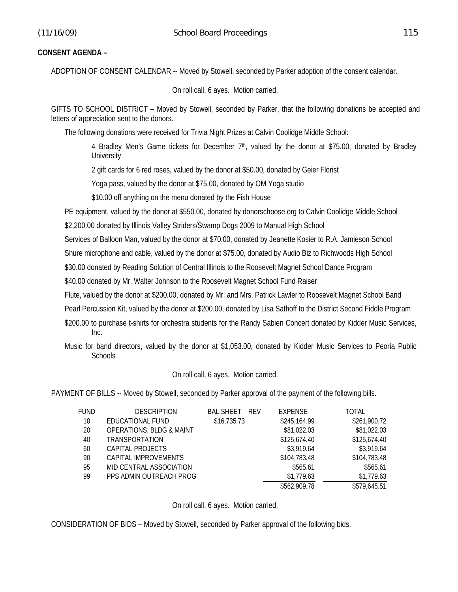### **CONSENT AGENDA –**

ADOPTION OF CONSENT CALENDAR -- Moved by Stowell, seconded by Parker adoption of the consent calendar.

On roll call, 6 ayes. Motion carried.

GIFTS TO SCHOOL DISTRICT – Moved by Stowell, seconded by Parker, that the following donations be accepted and letters of appreciation sent to the donors.

The following donations were received for Trivia Night Prizes at Calvin Coolidge Middle School:

4 Bradley Men's Game tickets for December  $7<sup>th</sup>$ , valued by the donor at \$75.00, donated by Bradley **University** 

2 gift cards for 6 red roses, valued by the donor at \$50.00, donated by Geier Florist

Yoga pass, valued by the donor at \$75.00, donated by OM Yoga studio

\$10.00 off anything on the menu donated by the Fish House

PE equipment, valued by the donor at \$550.00, donated by donorschoose.org to Calvin Coolidge Middle School

\$2,200.00 donated by Illinois Valley Striders/Swamp Dogs 2009 to Manual High School

Services of Balloon Man, valued by the donor at \$70.00, donated by Jeanette Kosier to R.A. Jamieson School

Shure microphone and cable, valued by the donor at \$75.00, donated by Audio Biz to Richwoods High School

\$30.00 donated by Reading Solution of Central Illinois to the Roosevelt Magnet School Dance Program

\$40.00 donated by Mr. Walter Johnson to the Roosevelt Magnet School Fund Raiser

Flute, valued by the donor at \$200.00, donated by Mr. and Mrs. Patrick Lawler to Roosevelt Magnet School Band

Pearl Percussion Kit, valued by the donor at \$200.00, donated by Lisa Sathoff to the District Second Fiddle Program

\$200.00 to purchase t-shirts for orchestra students for the Randy Sabien Concert donated by Kidder Music Services, Inc.

Music for band directors, valued by the donor at \$1,053.00, donated by Kidder Music Services to Peoria Public **Schools** 

On roll call, 6 ayes. Motion carried.

PAYMENT OF BILLS -- Moved by Stowell, seconded by Parker approval of the payment of the following bills.

| FUND | <b>DESCRIPTION</b>                  | <b>BAL.SHEET</b><br>RFV | <b>EXPENSE</b> | <b>TOTAL</b> |
|------|-------------------------------------|-------------------------|----------------|--------------|
| 10   | EDUCATIONAL FUND                    | \$16,735.73             | \$245,164.99   | \$261,900.72 |
| 20   | <b>OPERATIONS, BLDG &amp; MAINT</b> |                         | \$81,022.03    | \$81,022.03  |
| 40   | <b>TRANSPORTATION</b>               |                         | \$125,674.40   | \$125,674.40 |
| 60   | CAPITAL PROJECTS                    |                         | \$3,919.64     | \$3,919.64   |
| 90   | CAPITAL IMPROVEMENTS                |                         | \$104,783.48   | \$104,783.48 |
| 95   | MID CENTRAL ASSOCIATION             |                         | \$565.61       | \$565.61     |
| 99   | PPS ADMIN OUTREACH PROG             |                         | \$1,779.63     | \$1,779.63   |
|      |                                     |                         | \$562,909.78   | \$579,645.51 |
|      |                                     |                         |                |              |

On roll call, 6 ayes. Motion carried.

CONSIDERATION OF BIDS – Moved by Stowell, seconded by Parker approval of the following bids.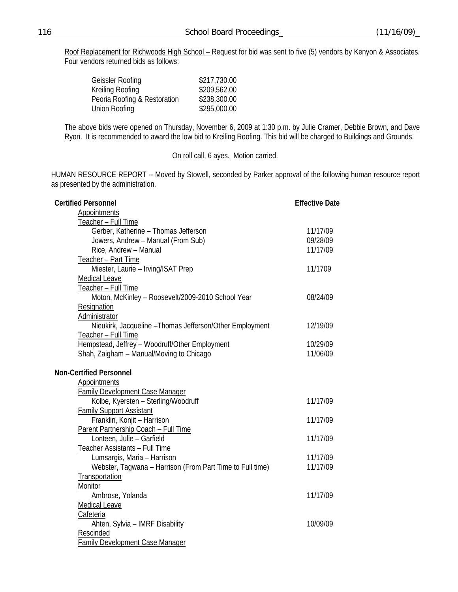Roof Replacement for Richwoods High School - Request for bid was sent to five (5) vendors by Kenyon & Associates. Four vendors returned bids as follows:

| \$217,730.00 |
|--------------|
| \$209,562.00 |
| \$238,300.00 |
| \$295,000.00 |
|              |

The above bids were opened on Thursday, November 6, 2009 at 1:30 p.m. by Julie Cramer, Debbie Brown, and Dave Ryon. It is recommended to award the low bid to Kreiling Roofing. This bid will be charged to Buildings and Grounds.

On roll call, 6 ayes. Motion carried.

HUMAN RESOURCE REPORT -- Moved by Stowell, seconded by Parker approval of the following human resource report as presented by the administration.

| <b>Certified Personnel</b>                                | <b>Effective Date</b> |
|-----------------------------------------------------------|-----------------------|
| <b>Appointments</b>                                       |                       |
| Teacher - Full Time                                       |                       |
| Gerber, Katherine - Thomas Jefferson                      | 11/17/09              |
| Jowers, Andrew - Manual (From Sub)                        | 09/28/09              |
| Rice, Andrew - Manual                                     | 11/17/09              |
| Teacher - Part Time                                       |                       |
| Miester, Laurie - Irving/ISAT Prep                        | 11/1709               |
| Medical Leave                                             |                       |
| Teacher - Full Time                                       |                       |
| Moton, McKinley - Roosevelt/2009-2010 School Year         | 08/24/09              |
| Resignation                                               |                       |
| Administrator                                             |                       |
| Nieukirk, Jacqueline - Thomas Jefferson/Other Employment  | 12/19/09              |
| Teacher - Full Time                                       |                       |
| Hempstead, Jeffrey - Woodruff/Other Employment            | 10/29/09              |
| Shah, Zaigham - Manual/Moving to Chicago                  | 11/06/09              |
|                                                           |                       |
| <b>Non-Certified Personnel</b>                            |                       |
| <b>Appointments</b>                                       |                       |
| <b>Family Development Case Manager</b>                    |                       |
| Kolbe, Kyersten - Sterling/Woodruff                       | 11/17/09              |
| <b>Family Support Assistant</b>                           |                       |
| Franklin, Konjit - Harrison                               | 11/17/09              |
| Parent Partnership Coach - Full Time                      |                       |
| Lonteen, Julie - Garfield                                 | 11/17/09              |
| Teacher Assistants - Full Time                            |                       |
| Lumsargis, Maria - Harrison                               | 11/17/09              |
| Webster, Tagwana - Harrison (From Part Time to Full time) | 11/17/09              |
| Transportation                                            |                       |
| Monitor                                                   |                       |
| Ambrose, Yolanda                                          | 11/17/09              |
| <b>Medical Leave</b>                                      |                       |
| Cafeteria                                                 |                       |
| Ahten, Sylvia - IMRF Disability                           | 10/09/09              |
| Rescinded                                                 |                       |
| <b>Family Development Case Manager</b>                    |                       |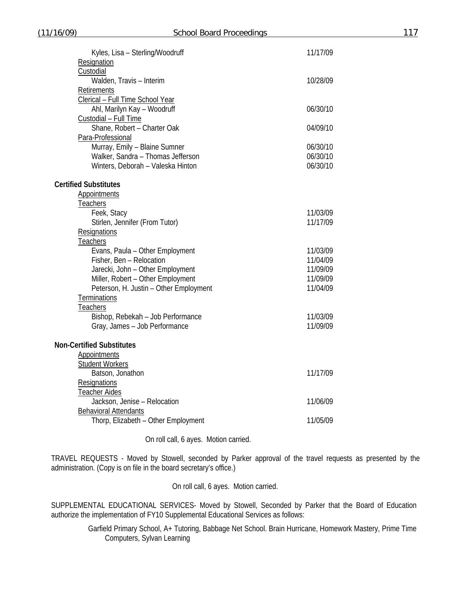| Resignation<br>Custodial<br>Walden, Travis - Interim<br>10/28/09<br>Retirements<br>Clerical - Full Time School Year<br>Ahl, Marilyn Kay - Woodruff<br>06/30/10<br>Custodial - Full Time<br>Shane, Robert - Charter Oak<br>04/09/10<br>Para-Professional<br>Murray, Emily - Blaine Sumner<br>06/30/10<br>Walker, Sandra - Thomas Jefferson<br>06/30/10<br>Winters, Deborah - Valeska Hinton<br>06/30/10<br><b>Certified Substitutes</b><br><b>Appointments</b><br>Teachers<br>Feek, Stacy<br>11/03/09<br>Stirlen, Jennifer (From Tutor)<br>11/17/09<br>Resignations<br><b>Teachers</b><br>Evans, Paula - Other Employment<br>11/03/09<br>Fisher, Ben - Relocation<br>11/04/09<br>Jarecki, John - Other Employment<br>11/09/09<br>Miller, Robert - Other Employment<br>11/09/09<br>Peterson, H. Justin - Other Employment<br>11/04/09<br><b>Terminations</b><br><b>Teachers</b><br>Bishop, Rebekah - Job Performance<br>11/03/09<br>Gray, James - Job Performance<br>11/09/09<br><b>Non-Certified Substitutes</b><br>Appointments<br><b>Student Workers</b><br>Batson, Jonathon<br>11/17/09<br><b>Resignations</b><br><b>Teacher Aides</b><br>Jackson, Jenise - Relocation<br>11/06/09<br><b>Behavioral Attendants</b> | Kyles, Lisa - Sterling/Woodruff     | 11/17/09 |
|----------------------------------------------------------------------------------------------------------------------------------------------------------------------------------------------------------------------------------------------------------------------------------------------------------------------------------------------------------------------------------------------------------------------------------------------------------------------------------------------------------------------------------------------------------------------------------------------------------------------------------------------------------------------------------------------------------------------------------------------------------------------------------------------------------------------------------------------------------------------------------------------------------------------------------------------------------------------------------------------------------------------------------------------------------------------------------------------------------------------------------------------------------------------------------------------------------------------|-------------------------------------|----------|
|                                                                                                                                                                                                                                                                                                                                                                                                                                                                                                                                                                                                                                                                                                                                                                                                                                                                                                                                                                                                                                                                                                                                                                                                                      |                                     |          |
|                                                                                                                                                                                                                                                                                                                                                                                                                                                                                                                                                                                                                                                                                                                                                                                                                                                                                                                                                                                                                                                                                                                                                                                                                      |                                     |          |
|                                                                                                                                                                                                                                                                                                                                                                                                                                                                                                                                                                                                                                                                                                                                                                                                                                                                                                                                                                                                                                                                                                                                                                                                                      |                                     |          |
|                                                                                                                                                                                                                                                                                                                                                                                                                                                                                                                                                                                                                                                                                                                                                                                                                                                                                                                                                                                                                                                                                                                                                                                                                      |                                     |          |
|                                                                                                                                                                                                                                                                                                                                                                                                                                                                                                                                                                                                                                                                                                                                                                                                                                                                                                                                                                                                                                                                                                                                                                                                                      |                                     |          |
|                                                                                                                                                                                                                                                                                                                                                                                                                                                                                                                                                                                                                                                                                                                                                                                                                                                                                                                                                                                                                                                                                                                                                                                                                      |                                     |          |
|                                                                                                                                                                                                                                                                                                                                                                                                                                                                                                                                                                                                                                                                                                                                                                                                                                                                                                                                                                                                                                                                                                                                                                                                                      |                                     |          |
|                                                                                                                                                                                                                                                                                                                                                                                                                                                                                                                                                                                                                                                                                                                                                                                                                                                                                                                                                                                                                                                                                                                                                                                                                      |                                     |          |
|                                                                                                                                                                                                                                                                                                                                                                                                                                                                                                                                                                                                                                                                                                                                                                                                                                                                                                                                                                                                                                                                                                                                                                                                                      |                                     |          |
|                                                                                                                                                                                                                                                                                                                                                                                                                                                                                                                                                                                                                                                                                                                                                                                                                                                                                                                                                                                                                                                                                                                                                                                                                      |                                     |          |
|                                                                                                                                                                                                                                                                                                                                                                                                                                                                                                                                                                                                                                                                                                                                                                                                                                                                                                                                                                                                                                                                                                                                                                                                                      |                                     |          |
|                                                                                                                                                                                                                                                                                                                                                                                                                                                                                                                                                                                                                                                                                                                                                                                                                                                                                                                                                                                                                                                                                                                                                                                                                      |                                     |          |
|                                                                                                                                                                                                                                                                                                                                                                                                                                                                                                                                                                                                                                                                                                                                                                                                                                                                                                                                                                                                                                                                                                                                                                                                                      |                                     |          |
|                                                                                                                                                                                                                                                                                                                                                                                                                                                                                                                                                                                                                                                                                                                                                                                                                                                                                                                                                                                                                                                                                                                                                                                                                      |                                     |          |
|                                                                                                                                                                                                                                                                                                                                                                                                                                                                                                                                                                                                                                                                                                                                                                                                                                                                                                                                                                                                                                                                                                                                                                                                                      |                                     |          |
|                                                                                                                                                                                                                                                                                                                                                                                                                                                                                                                                                                                                                                                                                                                                                                                                                                                                                                                                                                                                                                                                                                                                                                                                                      |                                     |          |
|                                                                                                                                                                                                                                                                                                                                                                                                                                                                                                                                                                                                                                                                                                                                                                                                                                                                                                                                                                                                                                                                                                                                                                                                                      |                                     |          |
|                                                                                                                                                                                                                                                                                                                                                                                                                                                                                                                                                                                                                                                                                                                                                                                                                                                                                                                                                                                                                                                                                                                                                                                                                      |                                     |          |
|                                                                                                                                                                                                                                                                                                                                                                                                                                                                                                                                                                                                                                                                                                                                                                                                                                                                                                                                                                                                                                                                                                                                                                                                                      |                                     |          |
|                                                                                                                                                                                                                                                                                                                                                                                                                                                                                                                                                                                                                                                                                                                                                                                                                                                                                                                                                                                                                                                                                                                                                                                                                      |                                     |          |
|                                                                                                                                                                                                                                                                                                                                                                                                                                                                                                                                                                                                                                                                                                                                                                                                                                                                                                                                                                                                                                                                                                                                                                                                                      |                                     |          |
|                                                                                                                                                                                                                                                                                                                                                                                                                                                                                                                                                                                                                                                                                                                                                                                                                                                                                                                                                                                                                                                                                                                                                                                                                      |                                     |          |
|                                                                                                                                                                                                                                                                                                                                                                                                                                                                                                                                                                                                                                                                                                                                                                                                                                                                                                                                                                                                                                                                                                                                                                                                                      |                                     |          |
|                                                                                                                                                                                                                                                                                                                                                                                                                                                                                                                                                                                                                                                                                                                                                                                                                                                                                                                                                                                                                                                                                                                                                                                                                      |                                     |          |
|                                                                                                                                                                                                                                                                                                                                                                                                                                                                                                                                                                                                                                                                                                                                                                                                                                                                                                                                                                                                                                                                                                                                                                                                                      |                                     |          |
|                                                                                                                                                                                                                                                                                                                                                                                                                                                                                                                                                                                                                                                                                                                                                                                                                                                                                                                                                                                                                                                                                                                                                                                                                      |                                     |          |
|                                                                                                                                                                                                                                                                                                                                                                                                                                                                                                                                                                                                                                                                                                                                                                                                                                                                                                                                                                                                                                                                                                                                                                                                                      |                                     |          |
|                                                                                                                                                                                                                                                                                                                                                                                                                                                                                                                                                                                                                                                                                                                                                                                                                                                                                                                                                                                                                                                                                                                                                                                                                      |                                     |          |
|                                                                                                                                                                                                                                                                                                                                                                                                                                                                                                                                                                                                                                                                                                                                                                                                                                                                                                                                                                                                                                                                                                                                                                                                                      |                                     |          |
|                                                                                                                                                                                                                                                                                                                                                                                                                                                                                                                                                                                                                                                                                                                                                                                                                                                                                                                                                                                                                                                                                                                                                                                                                      |                                     |          |
|                                                                                                                                                                                                                                                                                                                                                                                                                                                                                                                                                                                                                                                                                                                                                                                                                                                                                                                                                                                                                                                                                                                                                                                                                      |                                     |          |
|                                                                                                                                                                                                                                                                                                                                                                                                                                                                                                                                                                                                                                                                                                                                                                                                                                                                                                                                                                                                                                                                                                                                                                                                                      |                                     |          |
|                                                                                                                                                                                                                                                                                                                                                                                                                                                                                                                                                                                                                                                                                                                                                                                                                                                                                                                                                                                                                                                                                                                                                                                                                      |                                     |          |
|                                                                                                                                                                                                                                                                                                                                                                                                                                                                                                                                                                                                                                                                                                                                                                                                                                                                                                                                                                                                                                                                                                                                                                                                                      |                                     |          |
|                                                                                                                                                                                                                                                                                                                                                                                                                                                                                                                                                                                                                                                                                                                                                                                                                                                                                                                                                                                                                                                                                                                                                                                                                      |                                     |          |
|                                                                                                                                                                                                                                                                                                                                                                                                                                                                                                                                                                                                                                                                                                                                                                                                                                                                                                                                                                                                                                                                                                                                                                                                                      |                                     |          |
|                                                                                                                                                                                                                                                                                                                                                                                                                                                                                                                                                                                                                                                                                                                                                                                                                                                                                                                                                                                                                                                                                                                                                                                                                      | Thorp, Elizabeth - Other Employment | 11/05/09 |

On roll call, 6 ayes. Motion carried.

TRAVEL REQUESTS - Moved by Stowell, seconded by Parker approval of the travel requests as presented by the administration. (Copy is on file in the board secretary's office.)

On roll call, 6 ayes. Motion carried.

SUPPLEMENTAL EDUCATIONAL SERVICES- Moved by Stowell, Seconded by Parker that the Board of Education authorize the implementation of FY10 Supplemental Educational Services as follows:

Garfield Primary School, A+ Tutoring, Babbage Net School. Brain Hurricane, Homework Mastery, Prime Time Computers, Sylvan Learning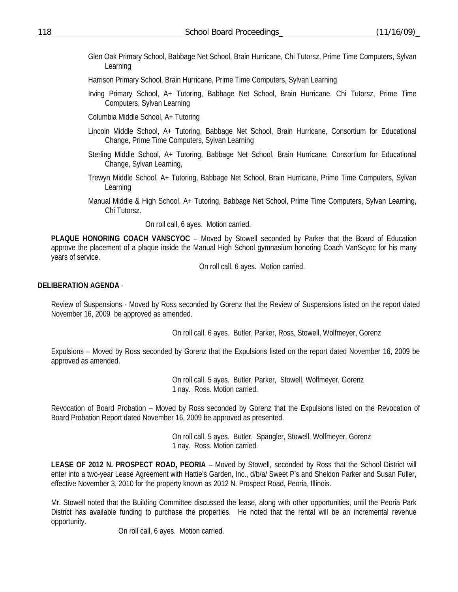- Glen Oak Primary School, Babbage Net School, Brain Hurricane, Chi Tutorsz, Prime Time Computers, Sylvan Learning
- Harrison Primary School, Brain Hurricane, Prime Time Computers, Sylvan Learning
- Irving Primary School, A+ Tutoring, Babbage Net School, Brain Hurricane, Chi Tutorsz, Prime Time Computers, Sylvan Learning

Columbia Middle School, A+ Tutoring

- Lincoln Middle School, A+ Tutoring, Babbage Net School, Brain Hurricane, Consortium for Educational Change, Prime Time Computers, Sylvan Learning
- Sterling Middle School, A+ Tutoring, Babbage Net School, Brain Hurricane, Consortium for Educational Change, Sylvan Learning,
- Trewyn Middle School, A+ Tutoring, Babbage Net School, Brain Hurricane, Prime Time Computers, Sylvan Learning
- Manual Middle & High School, A+ Tutoring, Babbage Net School, Prime Time Computers, Sylvan Learning, Chi Tutorsz.

On roll call, 6 ayes. Motion carried.

**PLAQUE HONORING COACH VANSCYOC** – Moved by Stowell seconded by Parker that the Board of Education approve the placement of a plaque inside the Manual High School gymnasium honoring Coach VanScyoc for his many years of service.

On roll call, 6 ayes. Motion carried.

## **DELIBERATION AGENDA** -

Review of Suspensions - Moved by Ross seconded by Gorenz that the Review of Suspensions listed on the report dated November 16, 2009 be approved as amended.

On roll call, 6 ayes. Butler, Parker, Ross, Stowell, Wolfmeyer, Gorenz

Expulsions – Moved by Ross seconded by Gorenz that the Expulsions listed on the report dated November 16, 2009 be approved as amended.

> On roll call, 5 ayes. Butler, Parker, Stowell, Wolfmeyer, Gorenz 1 nay. Ross. Motion carried.

Revocation of Board Probation – Moved by Ross seconded by Gorenz that the Expulsions listed on the Revocation of Board Probation Report dated November 16, 2009 be approved as presented.

> On roll call, 5 ayes. Butler, Spangler, Stowell, Wolfmeyer, Gorenz 1 nay. Ross. Motion carried.

**LEASE OF 2012 N. PROSPECT ROAD, PEORIA** – Moved by Stowell, seconded by Ross that the School District will enter into a two-year Lease Agreement with Hattie's Garden, Inc., d/b/a/ Sweet P's and Sheldon Parker and Susan Fuller, effective November 3, 2010 for the property known as 2012 N. Prospect Road, Peoria, Illinois.

Mr. Stowell noted that the Building Committee discussed the lease, along with other opportunities, until the Peoria Park District has available funding to purchase the properties. He noted that the rental will be an incremental revenue opportunity.

On roll call, 6 ayes. Motion carried.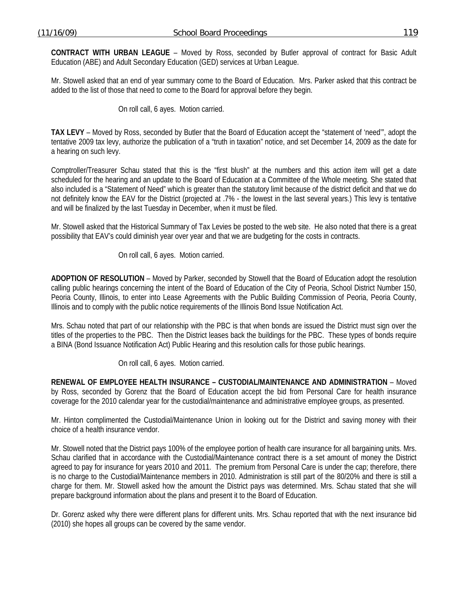**CONTRACT WITH URBAN LEAGUE** – Moved by Ross, seconded by Butler approval of contract for Basic Adult Education (ABE) and Adult Secondary Education (GED) services at Urban League.

Mr. Stowell asked that an end of year summary come to the Board of Education. Mrs. Parker asked that this contract be added to the list of those that need to come to the Board for approval before they begin.

On roll call, 6 ayes. Motion carried.

**TAX LEVY** – Moved by Ross, seconded by Butler that the Board of Education accept the "statement of 'need'", adopt the tentative 2009 tax levy, authorize the publication of a "truth in taxation" notice, and set December 14, 2009 as the date for a hearing on such levy.

Comptroller/Treasurer Schau stated that this is the "first blush" at the numbers and this action item will get a date scheduled for the hearing and an update to the Board of Education at a Committee of the Whole meeting. She stated that also included is a "Statement of Need" which is greater than the statutory limit because of the district deficit and that we do not definitely know the EAV for the District (projected at .7% - the lowest in the last several years.) This levy is tentative and will be finalized by the last Tuesday in December, when it must be filed.

Mr. Stowell asked that the Historical Summary of Tax Levies be posted to the web site. He also noted that there is a great possibility that EAV's could diminish year over year and that we are budgeting for the costs in contracts.

On roll call, 6 ayes. Motion carried.

**ADOPTION OF RESOLUTION** – Moved by Parker, seconded by Stowell that the Board of Education adopt the resolution calling public hearings concerning the intent of the Board of Education of the City of Peoria, School District Number 150, Peoria County, Illinois, to enter into Lease Agreements with the Public Building Commission of Peoria, Peoria County, Illinois and to comply with the public notice requirements of the Illinois Bond Issue Notification Act.

Mrs. Schau noted that part of our relationship with the PBC is that when bonds are issued the District must sign over the titles of the properties to the PBC. Then the District leases back the buildings for the PBC. These types of bonds require a BINA (Bond Issuance Notification Act) Public Hearing and this resolution calls for those public hearings.

On roll call, 6 ayes. Motion carried.

**RENEWAL OF EMPLOYEE HEALTH INSURANCE – CUSTODIAL/MAINTENANCE AND ADMINISTRATION** – Moved by Ross, seconded by Gorenz that the Board of Education accept the bid from Personal Care for health insurance coverage for the 2010 calendar year for the custodial/maintenance and administrative employee groups, as presented.

Mr. Hinton complimented the Custodial/Maintenance Union in looking out for the District and saving money with their choice of a health insurance vendor.

Mr. Stowell noted that the District pays 100% of the employee portion of health care insurance for all bargaining units. Mrs. Schau clarified that in accordance with the Custodial/Maintenance contract there is a set amount of money the District agreed to pay for insurance for years 2010 and 2011. The premium from Personal Care is under the cap; therefore, there is no charge to the Custodial/Maintenance members in 2010. Administration is still part of the 80/20% and there is still a charge for them. Mr. Stowell asked how the amount the District pays was determined. Mrs. Schau stated that she will prepare background information about the plans and present it to the Board of Education.

Dr. Gorenz asked why there were different plans for different units. Mrs. Schau reported that with the next insurance bid (2010) she hopes all groups can be covered by the same vendor.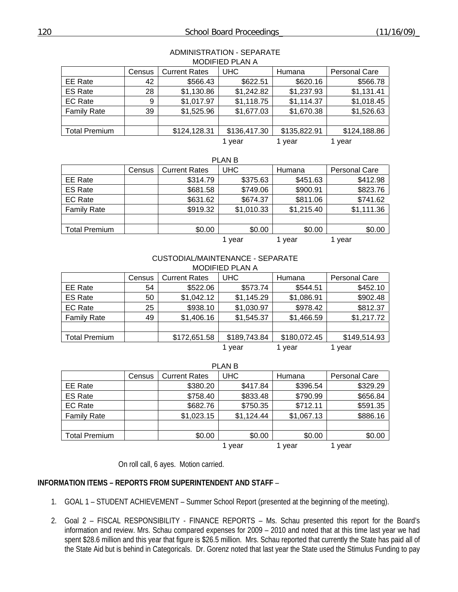| <b>IVIULIFIED FLAIVA</b> |        |                      |              |              |                      |  |
|--------------------------|--------|----------------------|--------------|--------------|----------------------|--|
|                          | Census | <b>Current Rates</b> | <b>UHC</b>   | Humana       | <b>Personal Care</b> |  |
| EE Rate                  | 42     | \$566.43             | \$622.51     | \$620.16     | \$566.78             |  |
| <b>ES Rate</b>           | 28     | \$1,130.86           | \$1,242.82   | \$1,237.93   | \$1,131.41           |  |
| <b>EC Rate</b>           | 9      | \$1,017.97           | \$1,118.75   | \$1,114.37   | \$1,018.45           |  |
| <b>Family Rate</b>       | 39     | \$1,525.96           | \$1,677.03   | \$1,670.38   | \$1,526.63           |  |
|                          |        |                      |              |              |                      |  |
| <b>Total Premium</b>     |        | \$124,128.31         | \$136,417.30 | \$135,822.91 | \$124,188.86         |  |
|                          |        |                      | vear         | 1 vear       | l vear               |  |

#### ADMINISTRATION - SEPARATE MODIFIED PLAN A

|                      | Census | <b>Current Rates</b> | <b>UHC</b> | Humana     | <b>Personal Care</b> |
|----------------------|--------|----------------------|------------|------------|----------------------|
| EE Rate              |        | \$314.79             | \$375.63   | \$451.63   | \$412.98             |
| <b>ES Rate</b>       |        | \$681.58             | \$749.06   | \$900.91   | \$823.76             |
| <b>EC Rate</b>       |        | \$631.62             | \$674.37   | \$811.06   | \$741.62             |
| <b>Family Rate</b>   |        | \$919.32             | \$1,010.33 | \$1,215.40 | \$1,111.36           |
|                      |        |                      |            |            |                      |
| <b>Total Premium</b> |        | \$0.00               | \$0.00     | \$0.00     | \$0.00               |
|                      |        |                      | vear       | year       | year                 |

#### CUSTODIAL/MAINTENANCE - SEPARATE MODIFIED PLAN A

| <b>IVIULIFIEU FLAIVA</b> |        |                      |              |              |                      |  |
|--------------------------|--------|----------------------|--------------|--------------|----------------------|--|
|                          | Census | <b>Current Rates</b> | <b>UHC</b>   | Humana       | <b>Personal Care</b> |  |
| EE Rate                  | 54     | \$522.06             | \$573.74     | \$544.51     | \$452.10             |  |
| <b>ES Rate</b>           | 50     | \$1,042.12           | \$1,145.29   | \$1,086.91   | \$902.48             |  |
| <b>EC Rate</b>           | 25     | \$938.10             | \$1,030.97   | \$978.42     | \$812.37             |  |
| <b>Family Rate</b>       | 49     | \$1,406.16           | \$1,545.37   | \$1,466.59   | \$1,217.72           |  |
|                          |        |                      |              |              |                      |  |
| Total Premium            |        | \$172,651.58         | \$189,743.84 | \$180,072.45 | \$149,514.93         |  |
|                          |        |                      | 1 vear       | year         | 1 vear               |  |

|                      | Census | <b>Current Rates</b> | <b>UHC</b> | Humana     | <b>Personal Care</b> |  |
|----------------------|--------|----------------------|------------|------------|----------------------|--|
| EE Rate              |        | \$380.20             | \$417.84   | \$396.54   | \$329.29             |  |
| <b>ES Rate</b>       |        | \$758.40             | \$833.48   | \$790.99   | \$656.84             |  |
| EC Rate              |        | \$682.76             | \$750.35   | \$712.11   | \$591.35             |  |
| <b>Family Rate</b>   |        | \$1,023.15           | \$1,124.44 | \$1,067.13 | \$886.16             |  |
|                      |        |                      |            |            |                      |  |
| <b>Total Premium</b> |        | \$0.00               | \$0.00     | \$0.00     | \$0.00               |  |
|                      |        |                      | vear       | vear       | 1 vear               |  |

PLAN B

On roll call, 6 ayes. Motion carried.

### **INFORMATION ITEMS – REPORTS FROM SUPERINTENDENT AND STAFF** –

- 1. GOAL 1 STUDENT ACHIEVEMENT Summer School Report (presented at the beginning of the meeting).
- 2. Goal 2 FISCAL RESPONSIBILITY FINANCE REPORTS Ms. Schau presented this report for the Board's information and review. Mrs. Schau compared expenses for 2009 – 2010 and noted that at this time last year we had spent \$28.6 million and this year that figure is \$26.5 million. Mrs. Schau reported that currently the State has paid all of the State Aid but is behind in Categoricals. Dr. Gorenz noted that last year the State used the Stimulus Funding to pay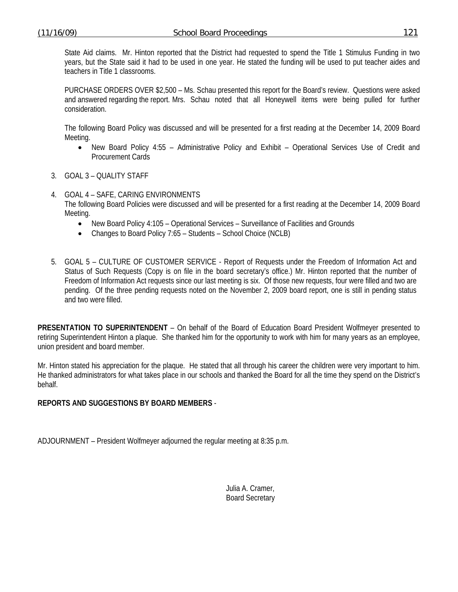State Aid claims. Mr. Hinton reported that the District had requested to spend the Title 1 Stimulus Funding in two years, but the State said it had to be used in one year. He stated the funding will be used to put teacher aides and teachers in Title 1 classrooms.

PURCHASE ORDERS OVER \$2,500 – Ms. Schau presented this report for the Board's review. Questions were asked and answered regarding the report. Mrs. Schau noted that all Honeywell items were being pulled for further consideration.

The following Board Policy was discussed and will be presented for a first reading at the December 14, 2009 Board Meeting.

- New Board Policy 4:55 Administrative Policy and Exhibit Operational Services Use of Credit and Procurement Cards
- 3. GOAL 3 QUALITY STAFF
- 4. GOAL 4 SAFE, CARING ENVIRONMENTS The following Board Policies were discussed and will be presented for a first reading at the December 14, 2009 Board Meeting.
	- New Board Policy 4:105 Operational Services Surveillance of Facilities and Grounds
	- Changes to Board Policy 7:65 Students School Choice (NCLB)
- 5. GOAL 5 CULTURE OF CUSTOMER SERVICE Report of Requests under the Freedom of Information Act and Status of Such Requests (Copy is on file in the board secretary's office.) Mr. Hinton reported that the number of Freedom of Information Act requests since our last meeting is six. Of those new requests, four were filled and two are pending. Of the three pending requests noted on the November 2, 2009 board report, one is still in pending status and two were filled.

**PRESENTATION TO SUPERINTENDENT** – On behalf of the Board of Education Board President Wolfmeyer presented to retiring Superintendent Hinton a plaque. She thanked him for the opportunity to work with him for many years as an employee, union president and board member.

Mr. Hinton stated his appreciation for the plaque. He stated that all through his career the children were very important to him. He thanked administrators for what takes place in our schools and thanked the Board for all the time they spend on the District's behalf.

# **REPORTS AND SUGGESTIONS BY BOARD MEMBERS** -

ADJOURNMENT – President Wolfmeyer adjourned the regular meeting at 8:35 p.m.

 Julia A. Cramer, Board Secretary